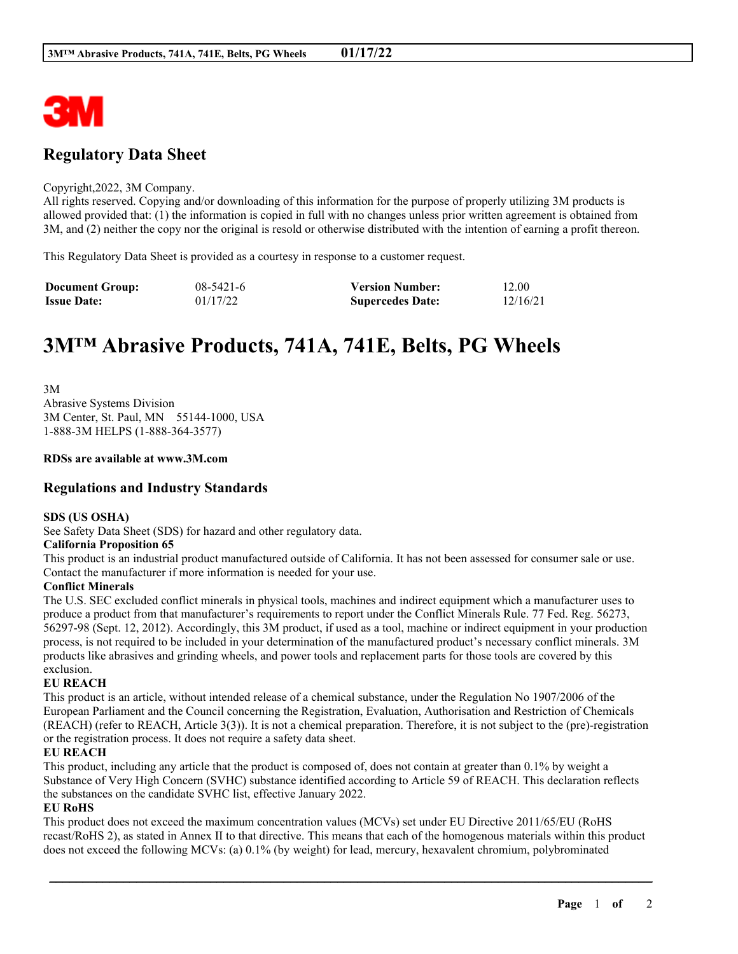

# **Regulatory Data Sheet**

#### Copyright,2022, 3M Company.

All rights reserved. Copying and/or downloading of this information for the purpose of properly utilizing 3M products is allowed provided that: (1) the information is copied in full with no changes unless prior written agreement is obtained from 3M, and (2) neither the copy nor the original is resold or otherwise distributed with the intention of earning a profit thereon.

This Regulatory Data Sheet is provided as a courtesy in response to a customer request.

| <b>Document Group:</b> | $08 - 5421 - 6$ | <b>Version Number:</b>  | 12.00    |
|------------------------|-----------------|-------------------------|----------|
| <b>Issue Date:</b>     | 01/17/22        | <b>Supercedes Date:</b> | 12/16/21 |

# **3M™ Abrasive Products, 741A, 741E, Belts, PG Wheels**

3M Abrasive Systems Division 3M Center, St. Paul, MN 55144-1000, USA 1-888-3M HELPS (1-888-364-3577)

#### **RDSs are available at www.3M.com**

### **Regulations and Industry Standards**

#### **SDS (US OSHA)**

See Safety Data Sheet (SDS) for hazard and other regulatory data.

#### **California Proposition 65**

This product is an industrial product manufactured outside of California. It has not been assessed for consumer sale or use. Contact the manufacturer if more information is needed for your use.

#### **Conflict Minerals**

The U.S. SEC excluded conflict minerals in physical tools, machines and indirect equipment which a manufacturer uses to produce a product from that manufacturer's requirements to report under the Conflict Minerals Rule. 77 Fed. Reg. 56273, 56297-98 (Sept. 12, 2012). Accordingly, this 3M product, if used as a tool, machine or indirect equipment in your production process, is not required to be included in your determination of the manufactured product's necessary conflict minerals. 3M products like abrasives and grinding wheels, and power tools and replacement parts for those tools are covered by this exclusion.

#### **EU REACH**

This product is an article, without intended release of a chemical substance, under the Regulation No 1907/2006 of the European Parliament and the Council concerning the Registration, Evaluation, Authorisation and Restriction of Chemicals (REACH) (refer to REACH, Article 3(3)). It is not a chemical preparation. Therefore, it is not subject to the (pre)-registration or the registration process. It does not require a safety data sheet.

#### **EU REACH**

This product, including any article that the product is composed of, does not contain at greater than 0.1% by weight a Substance of Very High Concern (SVHC) substance identified according to Article 59 of REACH. This declaration reflects the substances on the candidate SVHC list, effective January 2022.

#### **EU RoHS**

This product does not exceed the maximum concentration values (MCVs) set under EU Directive 2011/65/EU (RoHS recast/RoHS 2), as stated in Annex II to that directive. This means that each of the homogenous materials within this product does not exceed the following MCVs: (a) 0.1% (by weight) for lead, mercury, hexavalent chromium, polybrominated

\_\_\_\_\_\_\_\_\_\_\_\_\_\_\_\_\_\_\_\_\_\_\_\_\_\_\_\_\_\_\_\_\_\_\_\_\_\_\_\_\_\_\_\_\_\_\_\_\_\_\_\_\_\_\_\_\_\_\_\_\_\_\_\_\_\_\_\_\_\_\_\_\_\_\_\_\_\_\_\_\_\_\_\_\_\_\_\_\_\_